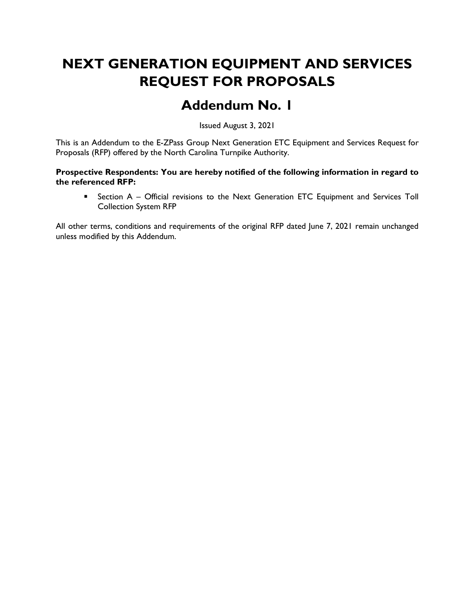# NEXT GENERATION EQUIPMENT AND SERVICES REQUEST FOR PROPOSALS

## Addendum No. 1

Issued August 3, 2021

This is an Addendum to the E-ZPass Group Next Generation ETC Equipment and Services Request for Proposals (RFP) offered by the North Carolina Turnpike Authority.

#### Prospective Respondents: You are hereby notified of the following information in regard to the referenced RFP:

**EXECT** Section A – Official revisions to the Next Generation ETC Equipment and Services Toll Collection System RFP

All other terms, conditions and requirements of the original RFP dated June 7, 2021 remain unchanged unless modified by this Addendum.